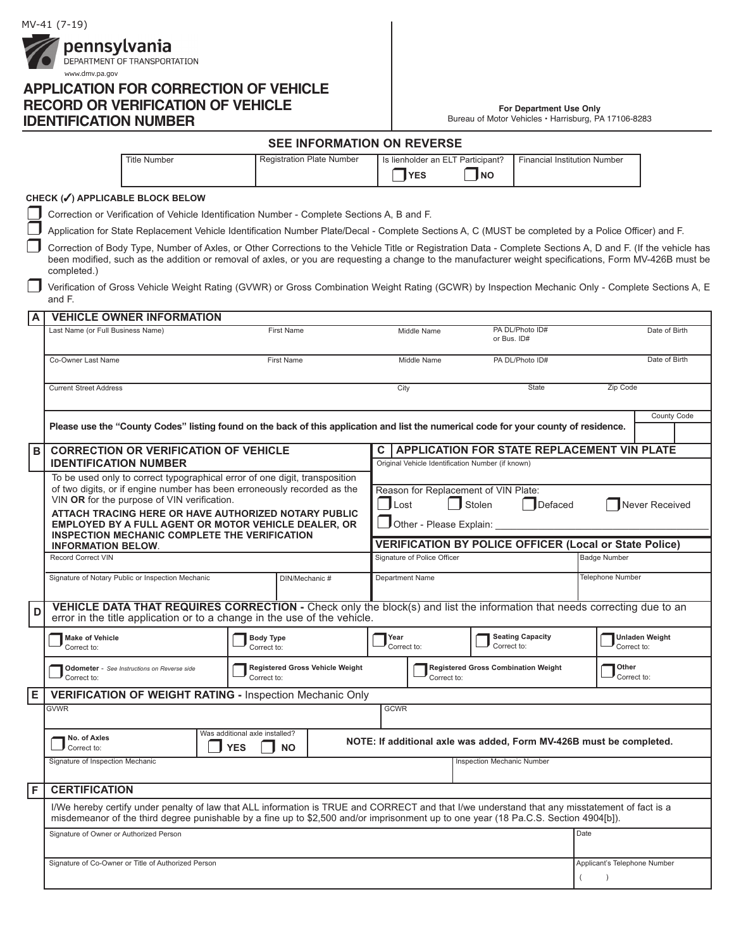# **pennsylvania**

www.dmv.pa.gov

## **APPLICATION FOR CORRECTION OF VEHICLE RECORD OR VERIFICATION OF VEHICLE IDENTIFICATION NUMBER**

**For Department Use Only** Bureau of Motor Vehicles • Harrisburg, PA 17106-8283

| <b>SEE INFORMATION ON REVERSE</b>                   |                                                                                                                                                                                                                                                                                                                                                                                                             |                                                                                                                                                                                                      |  |  |                                                                     |                                                                                                                             |             |                                             |                                      |                  |                              |  |  |
|-----------------------------------------------------|-------------------------------------------------------------------------------------------------------------------------------------------------------------------------------------------------------------------------------------------------------------------------------------------------------------------------------------------------------------------------------------------------------------|------------------------------------------------------------------------------------------------------------------------------------------------------------------------------------------------------|--|--|---------------------------------------------------------------------|-----------------------------------------------------------------------------------------------------------------------------|-------------|---------------------------------------------|--------------------------------------|------------------|------------------------------|--|--|
|                                                     | <b>Title Number</b>                                                                                                                                                                                                                                                                                                                                                                                         |                                                                                                                                                                                                      |  |  | <b>Registration Plate Number</b>                                    |                                                                                                                             | <b>TYES</b> | Is lienholder an ELT Participant?<br>$ $ NO | <b>Financial Institution Number</b>  |                  |                              |  |  |
|                                                     | CHECK (√) APPLICABLE BLOCK BELOW                                                                                                                                                                                                                                                                                                                                                                            |                                                                                                                                                                                                      |  |  |                                                                     |                                                                                                                             |             |                                             |                                      |                  |                              |  |  |
|                                                     | Correction or Verification of Vehicle Identification Number - Complete Sections A, B and F.                                                                                                                                                                                                                                                                                                                 |                                                                                                                                                                                                      |  |  |                                                                     |                                                                                                                             |             |                                             |                                      |                  |                              |  |  |
|                                                     | Application for State Replacement Vehicle Identification Number Plate/Decal - Complete Sections A, C (MUST be completed by a Police Officer) and F.                                                                                                                                                                                                                                                         |                                                                                                                                                                                                      |  |  |                                                                     |                                                                                                                             |             |                                             |                                      |                  |                              |  |  |
|                                                     | Correction of Body Type, Number of Axles, or Other Corrections to the Vehicle Title or Registration Data - Complete Sections A, D and F. (If the vehicle has<br>been modified, such as the addition or removal of axles, or you are requesting a change to the manufacturer weight specifications, Form MV-426B must be<br>completed.)                                                                      |                                                                                                                                                                                                      |  |  |                                                                     |                                                                                                                             |             |                                             |                                      |                  |                              |  |  |
|                                                     | Verification of Gross Vehicle Weight Rating (GVWR) or Gross Combination Weight Rating (GCWR) by Inspection Mechanic Only - Complete Sections A, E<br>and F.                                                                                                                                                                                                                                                 |                                                                                                                                                                                                      |  |  |                                                                     |                                                                                                                             |             |                                             |                                      |                  |                              |  |  |
| $\overline{A}$                                      | <b>VEHICLE OWNER INFORMATION</b>                                                                                                                                                                                                                                                                                                                                                                            |                                                                                                                                                                                                      |  |  |                                                                     |                                                                                                                             |             |                                             |                                      |                  |                              |  |  |
|                                                     |                                                                                                                                                                                                                                                                                                                                                                                                             | Last Name (or Full Business Name)<br>First Name                                                                                                                                                      |  |  |                                                                     | PA DL/Photo ID#<br>Middle Name<br>or Bus. ID#                                                                               |             |                                             |                                      | Date of Birth    |                              |  |  |
|                                                     | Co-Owner Last Name<br><b>First Name</b>                                                                                                                                                                                                                                                                                                                                                                     |                                                                                                                                                                                                      |  |  | Middle Name                                                         |                                                                                                                             |             |                                             | PA DL/Photo ID#                      |                  | Date of Birth                |  |  |
|                                                     | <b>Current Street Address</b>                                                                                                                                                                                                                                                                                                                                                                               |                                                                                                                                                                                                      |  |  |                                                                     | City                                                                                                                        |             |                                             | State                                | Zip Code         |                              |  |  |
|                                                     | Please use the "County Codes" listing found on the back of this application and list the numerical code for your county of residence.                                                                                                                                                                                                                                                                       |                                                                                                                                                                                                      |  |  |                                                                     |                                                                                                                             |             |                                             |                                      |                  | County Code                  |  |  |
|                                                     |                                                                                                                                                                                                                                                                                                                                                                                                             |                                                                                                                                                                                                      |  |  |                                                                     |                                                                                                                             |             |                                             |                                      |                  |                              |  |  |
| $\, {\bf B} \,$                                     | <b>CORRECTION OR VERIFICATION OF VEHICLE</b><br><b>IDENTIFICATION NUMBER</b><br>To be used only to correct typographical error of one digit, transposition<br>of two digits, or if engine number has been erroneously recorded as the<br>VIN OR for the purpose of VIN verification.<br>ATTACH TRACING HERE OR HAVE AUTHORIZED NOTARY PUBLIC<br><b>EMPLOYED BY A FULL AGENT OR MOTOR VEHICLE DEALER, OR</b> |                                                                                                                                                                                                      |  |  |                                                                     | APPLICATION FOR STATE REPLACEMENT VIN PLATE<br>C<br>Original Vehicle Identification Number (if known)                       |             |                                             |                                      |                  |                              |  |  |
|                                                     |                                                                                                                                                                                                                                                                                                                                                                                                             |                                                                                                                                                                                                      |  |  |                                                                     | Reason for Replacement of VIN Plate:<br>$\mathsf{I}$ Lost<br>Stolen<br>Never Received<br>Defaced<br>Other - Please Explain: |             |                                             |                                      |                  |                              |  |  |
|                                                     | INSPECTION MECHANIC COMPLETE THE VERIFICATION<br><b>INFORMATION BELOW.</b>                                                                                                                                                                                                                                                                                                                                  |                                                                                                                                                                                                      |  |  | <b>VERIFICATION BY POLICE OFFICER (Local or State Police)</b>       |                                                                                                                             |             |                                             |                                      |                  |                              |  |  |
|                                                     | <b>Record Correct VIN</b>                                                                                                                                                                                                                                                                                                                                                                                   | Signature of Notary Public or Inspection Mechanic<br>DIN/Mechanic #                                                                                                                                  |  |  |                                                                     | Signature of Police Officer                                                                                                 |             |                                             | <b>Badge Number</b>                  |                  |                              |  |  |
|                                                     |                                                                                                                                                                                                                                                                                                                                                                                                             |                                                                                                                                                                                                      |  |  |                                                                     | Department Name                                                                                                             |             |                                             |                                      | Telephone Number |                              |  |  |
| D                                                   |                                                                                                                                                                                                                                                                                                                                                                                                             | VEHICLE DATA THAT REQUIRES CORRECTION - Check only the block(s) and list the information that needs correcting due to an<br>error in the title application or to a change in the use of the vehicle. |  |  |                                                                     |                                                                                                                             |             |                                             |                                      |                  |                              |  |  |
|                                                     | <b>Make of Vehicle</b><br>Correct to:                                                                                                                                                                                                                                                                                                                                                                       | <b>Body Type</b><br>Correct to:                                                                                                                                                                      |  |  |                                                                     | <b>Seating Capacity</b><br>Year<br>Correct to:<br>Correct to:                                                               |             |                                             | <b>Unladen Weight</b><br>Correct to: |                  |                              |  |  |
|                                                     | Reaistered Gross Vehicle Weight<br><b>Odometer</b> - See Instructions on Reverse side<br>$\mathbf{J}_{\text{Correct to:}}$<br>$\Box$ Correct to:                                                                                                                                                                                                                                                            |                                                                                                                                                                                                      |  |  |                                                                     | <b>T</b> Other<br>Registered Gross Combination Weight<br>$\Box$ Correct to:<br>$\Box$ Correct to:                           |             |                                             |                                      |                  |                              |  |  |
| ΓE                                                  | <b>VERIFICATION OF WEIGHT RATING - Inspection Mechanic Only</b>                                                                                                                                                                                                                                                                                                                                             |                                                                                                                                                                                                      |  |  |                                                                     |                                                                                                                             |             |                                             |                                      |                  |                              |  |  |
|                                                     | GCWR<br><b>GVWR</b>                                                                                                                                                                                                                                                                                                                                                                                         |                                                                                                                                                                                                      |  |  |                                                                     |                                                                                                                             |             |                                             |                                      |                  |                              |  |  |
|                                                     | Was additional axle installed?<br>No. of Axles<br><b>YES</b><br><b>NO</b><br>Correct to:                                                                                                                                                                                                                                                                                                                    |                                                                                                                                                                                                      |  |  | NOTE: If additional axle was added, Form MV-426B must be completed. |                                                                                                                             |             |                                             |                                      |                  |                              |  |  |
|                                                     | Signature of Inspection Mechanic<br>Inspection Mechanic Number                                                                                                                                                                                                                                                                                                                                              |                                                                                                                                                                                                      |  |  |                                                                     |                                                                                                                             |             |                                             |                                      |                  |                              |  |  |
| F<br><b>CERTIFICATION</b>                           |                                                                                                                                                                                                                                                                                                                                                                                                             |                                                                                                                                                                                                      |  |  |                                                                     |                                                                                                                             |             |                                             |                                      |                  |                              |  |  |
|                                                     | I/We hereby certify under penalty of law that ALL information is TRUE and CORRECT and that I/we understand that any misstatement of fact is a<br>misdemeanor of the third degree punishable by a fine up to \$2,500 and/or imprisonment up to one year (18 Pa.C.S. Section 4904[b]).                                                                                                                        |                                                                                                                                                                                                      |  |  |                                                                     |                                                                                                                             |             |                                             |                                      |                  |                              |  |  |
|                                                     | Signature of Owner or Authorized Person                                                                                                                                                                                                                                                                                                                                                                     |                                                                                                                                                                                                      |  |  |                                                                     |                                                                                                                             |             |                                             |                                      | Date             |                              |  |  |
| Signature of Co-Owner or Title of Authorized Person |                                                                                                                                                                                                                                                                                                                                                                                                             |                                                                                                                                                                                                      |  |  |                                                                     |                                                                                                                             |             |                                             |                                      |                  | Applicant's Telephone Number |  |  |